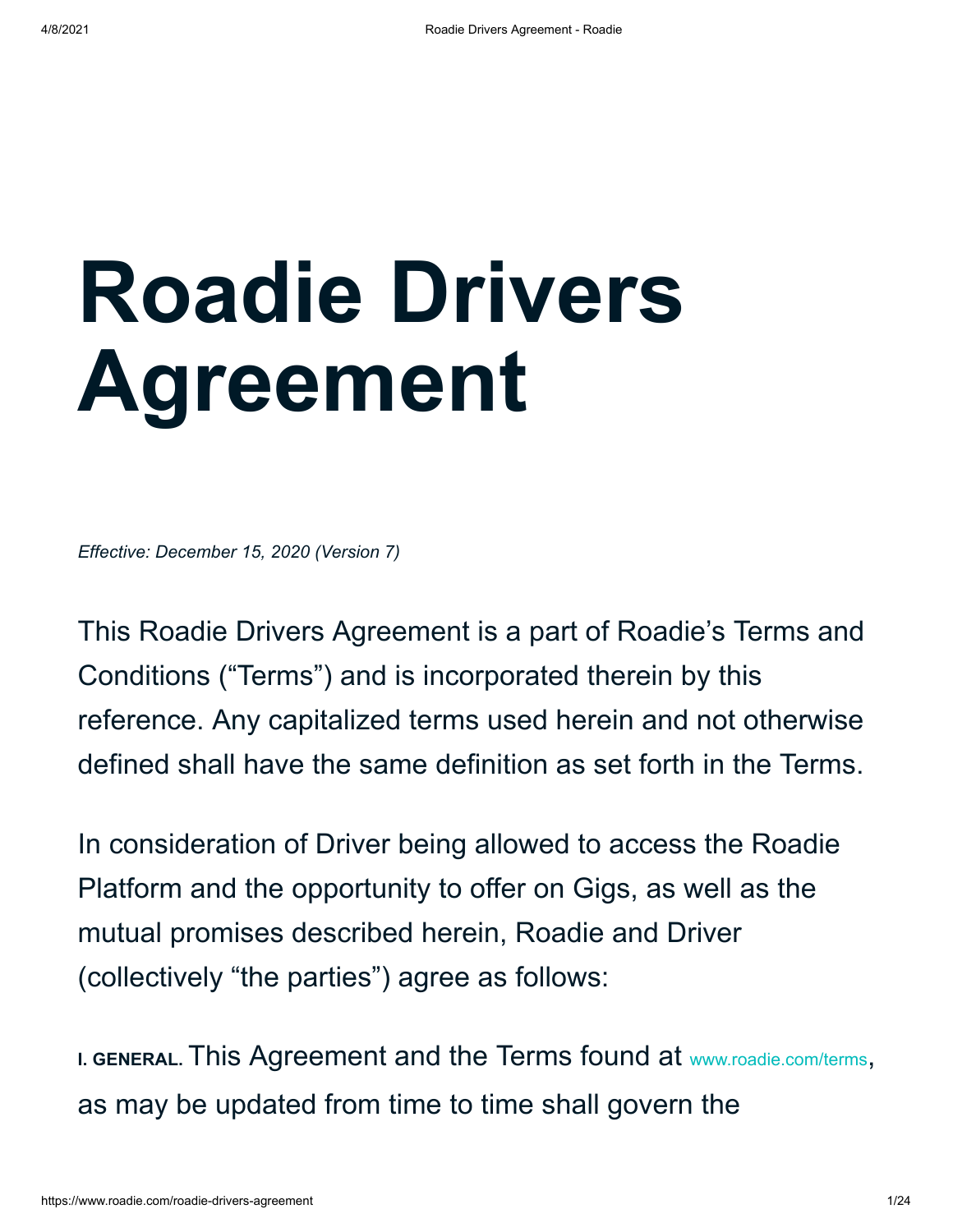## **Roadie Drivers Agreement**

*Effective: December 15, 2020 (Version 7)*

This Roadie Drivers Agreement is a part of Roadie's Terms and Conditions ("Terms") and is incorporated therein by this reference. Any capitalized terms used herein and not otherwise defined shall have the same definition as set forth in the Terms.

In consideration of Driver being allowed to access the Roadie Platform and the opportunity to offer on Gigs, as well as the mutual promises described herein, Roadie and Driver (collectively "the parties") agree as follows:

**I. GENERAL.** This Agreement and the Terms found at [www.roadie.com/terms](https://www.roadie.com/terms), as may be updated from time to time shall govern the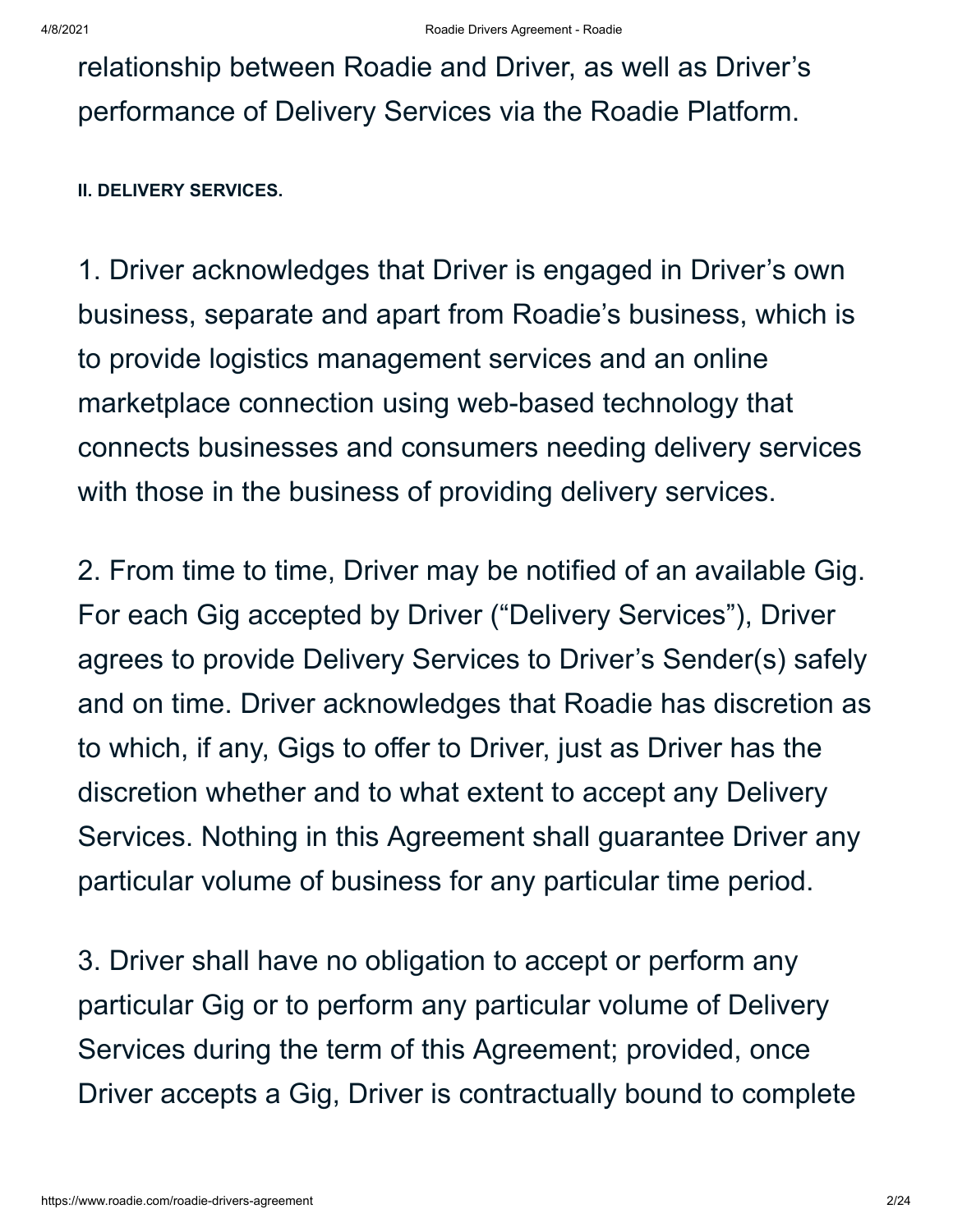relationship between Roadie and Driver, as well as Driver's performance of Delivery Services via the Roadie Platform.

**II. DELIVERY SERVICES.**

1. Driver acknowledges that Driver is engaged in Driver's own business, separate and apart from Roadie's business, which is to provide logistics management services and an online marketplace connection using web-based technology that connects businesses and consumers needing delivery services with those in the business of providing delivery services.

2. From time to time, Driver may be notified of an available Gig. For each Gig accepted by Driver ("Delivery Services"), Driver agrees to provide Delivery Services to Driver's Sender(s) safely and on time. Driver acknowledges that Roadie has discretion as to which, if any, Gigs to offer to Driver, just as Driver has the discretion whether and to what extent to accept any Delivery Services. Nothing in this Agreement shall guarantee Driver any particular volume of business for any particular time period.

3. Driver shall have no obligation to accept or perform any particular Gig or to perform any particular volume of Delivery Services during the term of this Agreement; provided, once Driver accepts a Gig, Driver is contractually bound to complete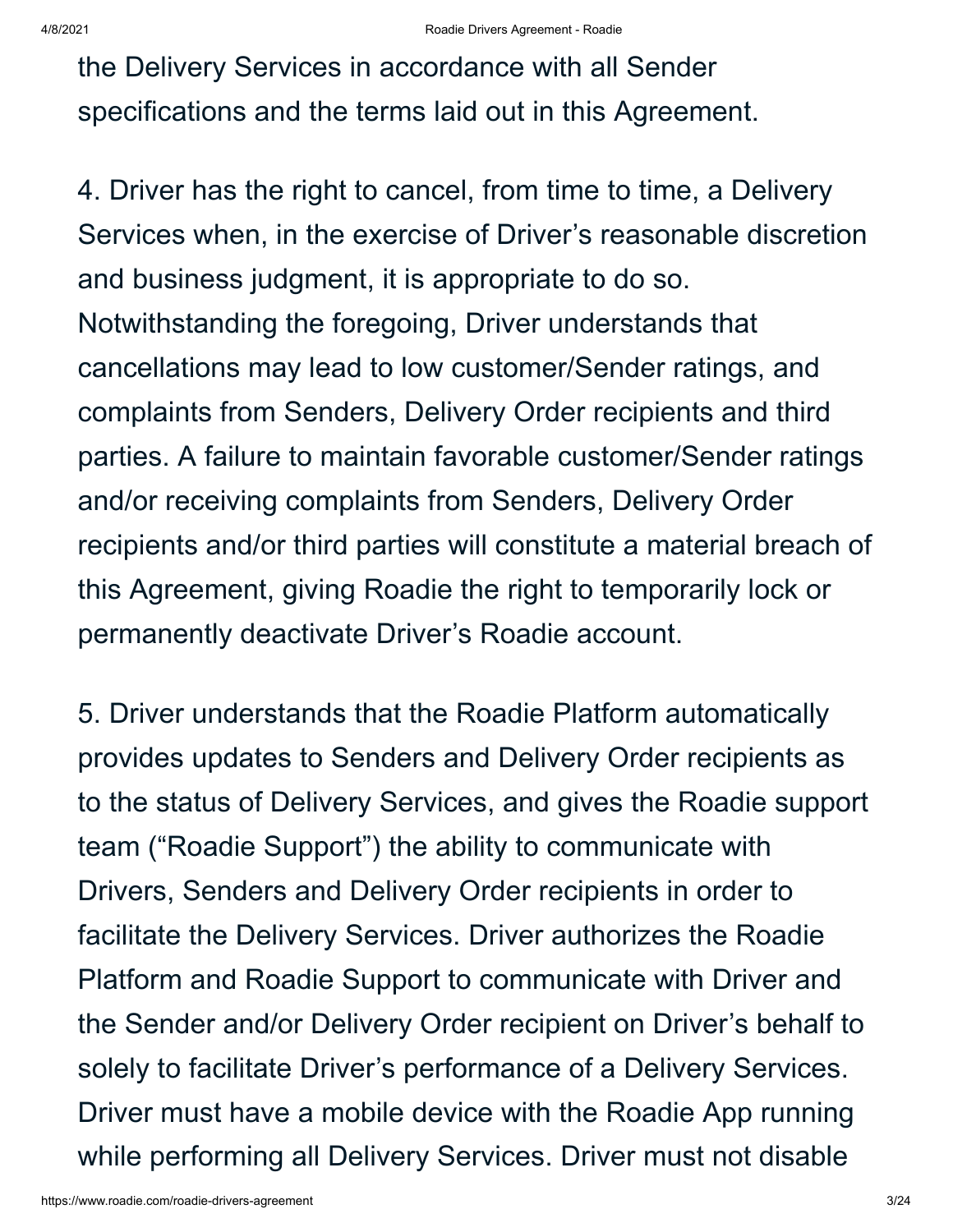the Delivery Services in accordance with all Sender specifications and the terms laid out in this Agreement.

4. Driver has the right to cancel, from time to time, a Delivery Services when, in the exercise of Driver's reasonable discretion and business judgment, it is appropriate to do so. Notwithstanding the foregoing, Driver understands that cancellations may lead to low customer/Sender ratings, and complaints from Senders, Delivery Order recipients and third parties. A failure to maintain favorable customer/Sender ratings and/or receiving complaints from Senders, Delivery Order recipients and/or third parties will constitute a material breach of this Agreement, giving Roadie the right to temporarily lock or permanently deactivate Driver's Roadie account.

5. Driver understands that the Roadie Platform automatically provides updates to Senders and Delivery Order recipients as to the status of Delivery Services, and gives the Roadie support team ("Roadie Support") the ability to communicate with Drivers, Senders and Delivery Order recipients in order to facilitate the Delivery Services. Driver authorizes the Roadie Platform and Roadie Support to communicate with Driver and the Sender and/or Delivery Order recipient on Driver's behalf to solely to facilitate Driver's performance of a Delivery Services. Driver must have a mobile device with the Roadie App running while performing all Delivery Services. Driver must not disable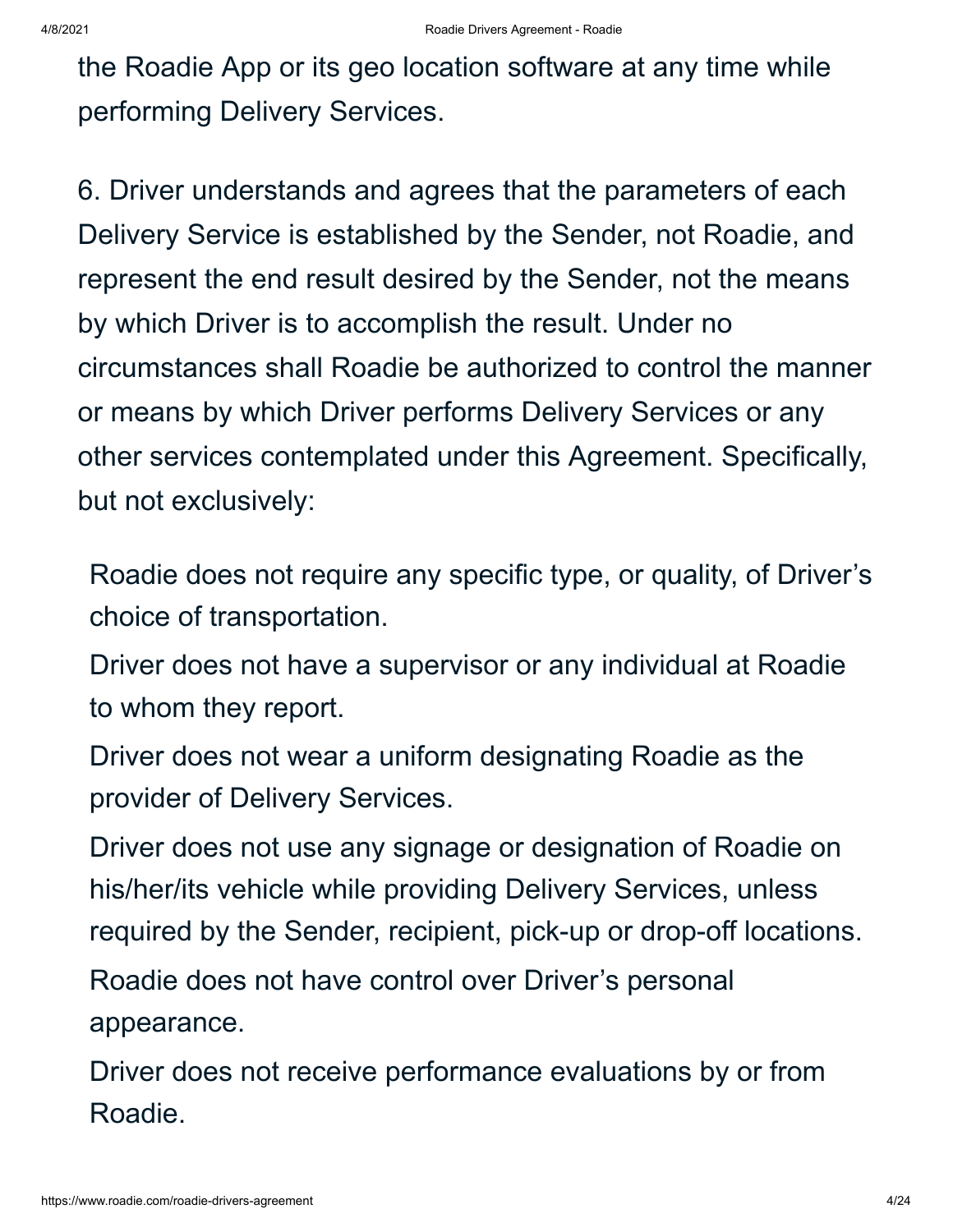the Roadie App or its geo location software at any time while performing Delivery Services.

6. Driver understands and agrees that the parameters of each Delivery Service is established by the Sender, not Roadie, and represent the end result desired by the Sender, not the means by which Driver is to accomplish the result. Under no circumstances shall Roadie be authorized to control the manner or means by which Driver performs Delivery Services or any other services contemplated under this Agreement. Specifically, but not exclusively:

Roadie does not require any specific type, or quality, of Driver's choice of transportation.

Driver does not have a supervisor or any individual at Roadie to whom they report.

Driver does not wear a uniform designating Roadie as the provider of Delivery Services.

Driver does not use any signage or designation of Roadie on his/her/its vehicle while providing Delivery Services, unless required by the Sender, recipient, pick-up or drop-off locations.

Roadie does not have control over Driver's personal appearance.

Driver does not receive performance evaluations by or from Roadie.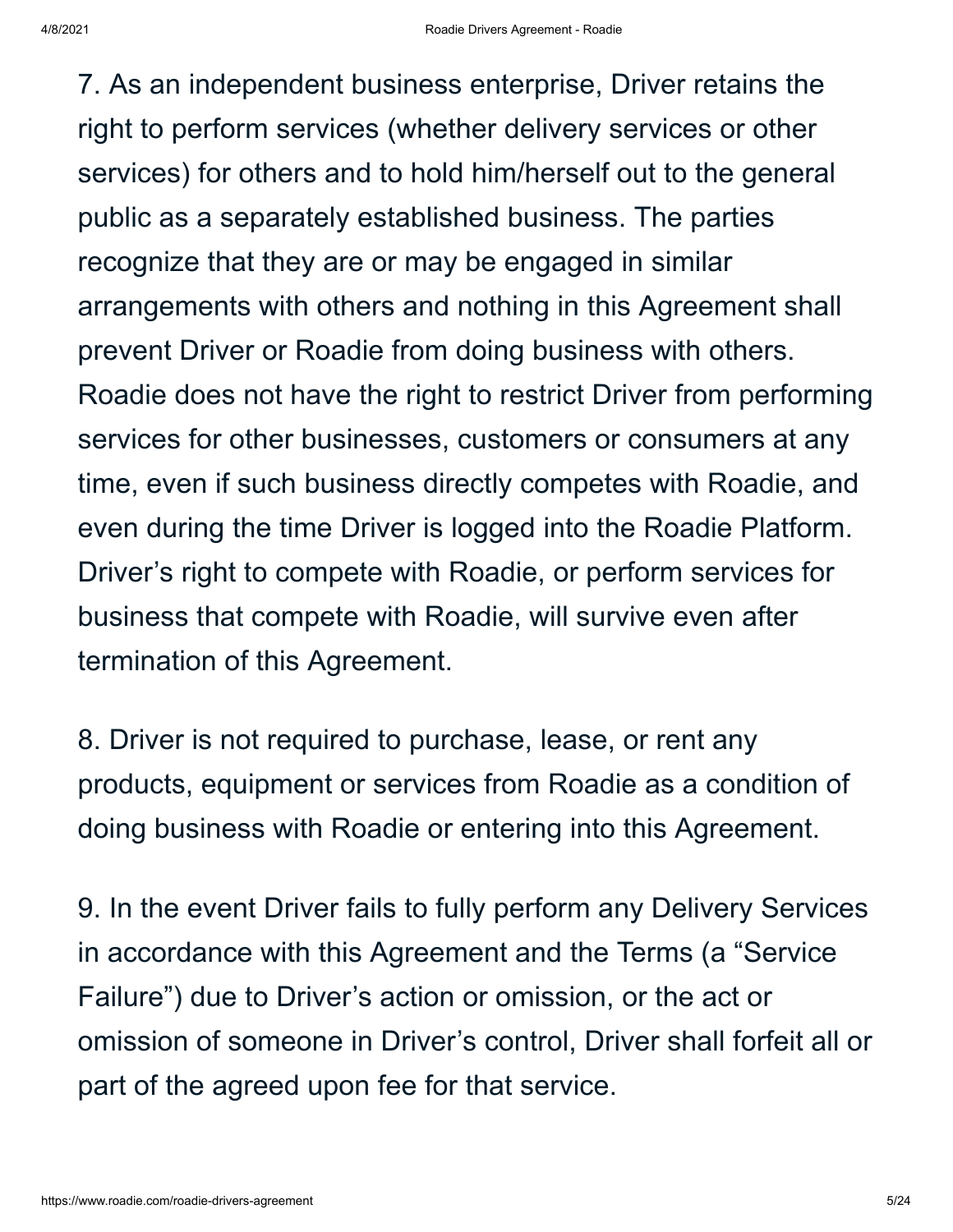7. As an independent business enterprise, Driver retains the right to perform services (whether delivery services or other services) for others and to hold him/herself out to the general public as a separately established business. The parties recognize that they are or may be engaged in similar arrangements with others and nothing in this Agreement shall prevent Driver or Roadie from doing business with others. Roadie does not have the right to restrict Driver from performing services for other businesses, customers or consumers at any time, even if such business directly competes with Roadie, and even during the time Driver is logged into the Roadie Platform. Driver's right to compete with Roadie, or perform services for business that compete with Roadie, will survive even after termination of this Agreement.

8. Driver is not required to purchase, lease, or rent any products, equipment or services from Roadie as a condition of doing business with Roadie or entering into this Agreement.

9. In the event Driver fails to fully perform any Delivery Services in accordance with this Agreement and the Terms (a "Service Failure") due to Driver's action or omission, or the act or omission of someone in Driver's control, Driver shall forfeit all or part of the agreed upon fee for that service.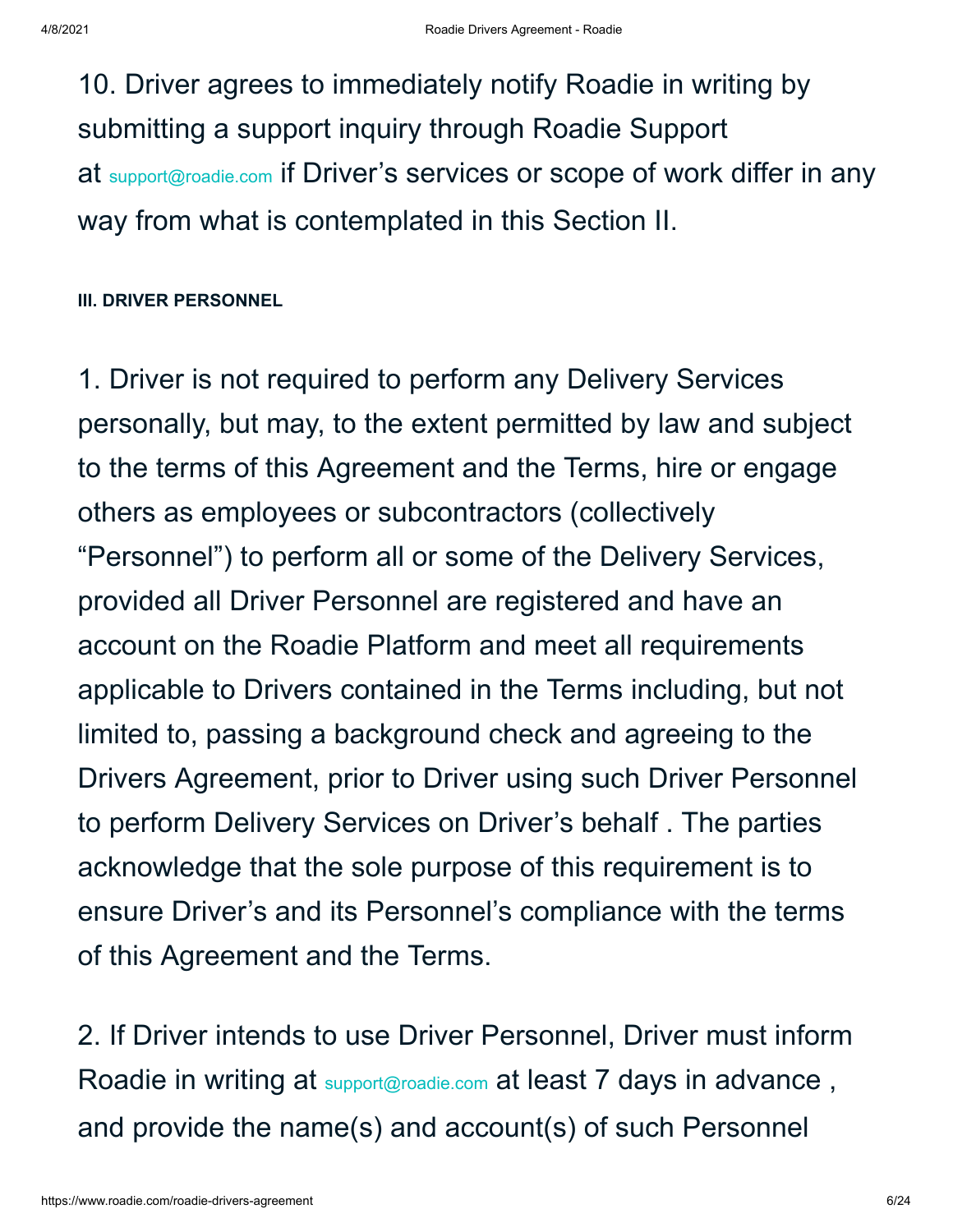10. Driver agrees to immediately notify Roadie in writing by submitting a support inquiry through Roadie Support at [support@roadie.com](mailto:support@roadie.com) if Driver's services or scope of work differ in any way from what is contemplated in this Section II.

## **III. DRIVER PERSONNEL**

1. Driver is not required to perform any Delivery Services personally, but may, to the extent permitted by law and subject to the terms of this Agreement and the Terms, hire or engage others as employees or subcontractors (collectively "Personnel") to perform all or some of the Delivery Services, provided all Driver Personnel are registered and have an account on the Roadie Platform and meet all requirements applicable to Drivers contained in the Terms including, but not limited to, passing a background check and agreeing to the Drivers Agreement, prior to Driver using such Driver Personnel to perform Delivery Services on Driver's behalf . The parties acknowledge that the sole purpose of this requirement is to ensure Driver's and its Personnel's compliance with the terms of this Agreement and the Terms.

2. If Driver intends to use Driver Personnel, Driver must inform Roadie in writing at [support@roadie.com](mailto:support@roadie.com) at least 7 days in advance, and provide the name(s) and account(s) of such Personnel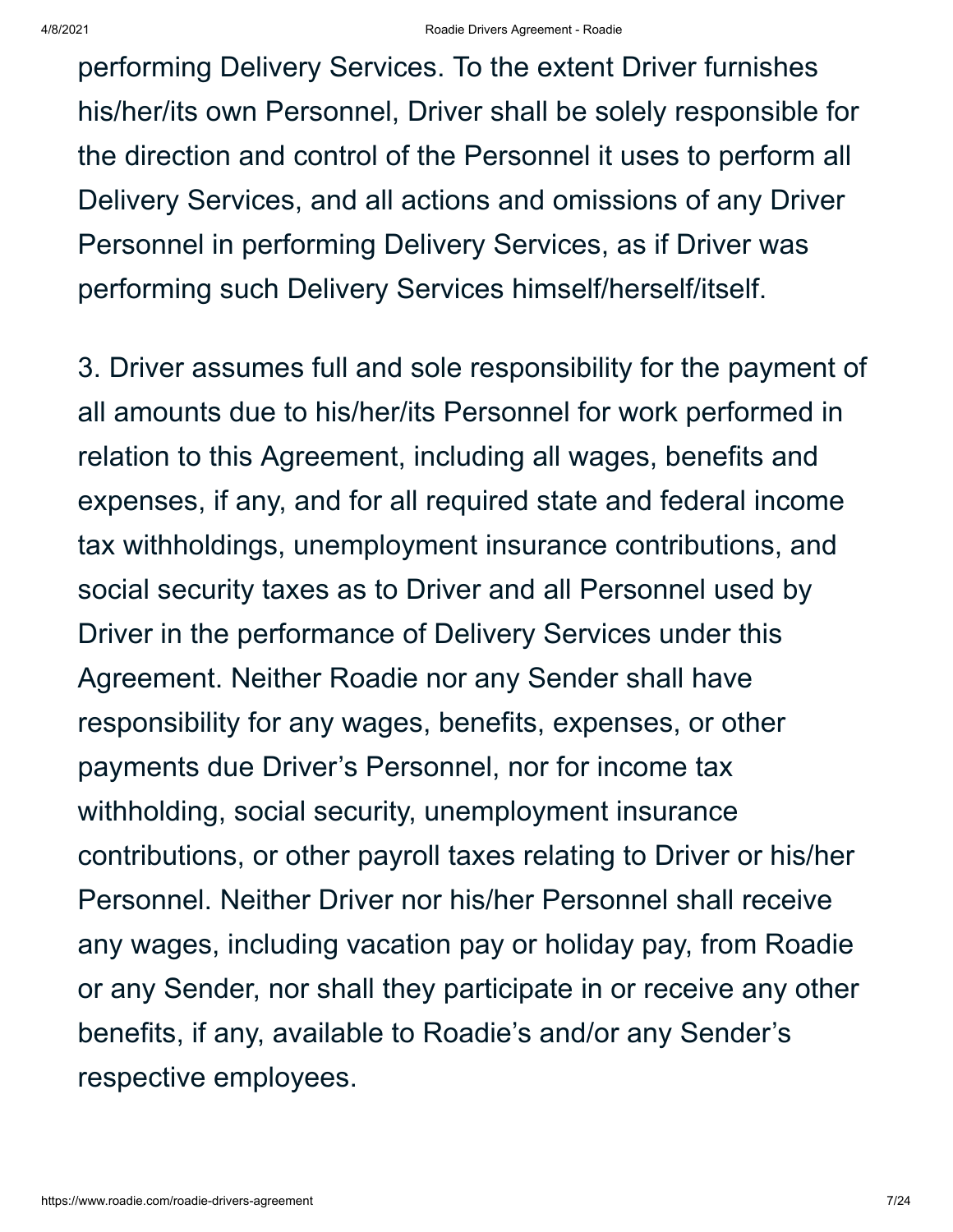performing Delivery Services. To the extent Driver furnishes his/her/its own Personnel, Driver shall be solely responsible for the direction and control of the Personnel it uses to perform all Delivery Services, and all actions and omissions of any Driver Personnel in performing Delivery Services, as if Driver was performing such Delivery Services himself/herself/itself.

3. Driver assumes full and sole responsibility for the payment of all amounts due to his/her/its Personnel for work performed in relation to this Agreement, including all wages, benefits and expenses, if any, and for all required state and federal income tax withholdings, unemployment insurance contributions, and social security taxes as to Driver and all Personnel used by Driver in the performance of Delivery Services under this Agreement. Neither Roadie nor any Sender shall have responsibility for any wages, benefits, expenses, or other payments due Driver's Personnel, nor for income tax withholding, social security, unemployment insurance contributions, or other payroll taxes relating to Driver or his/her Personnel. Neither Driver nor his/her Personnel shall receive any wages, including vacation pay or holiday pay, from Roadie or any Sender, nor shall they participate in or receive any other benefits, if any, available to Roadie's and/or any Sender's respective employees.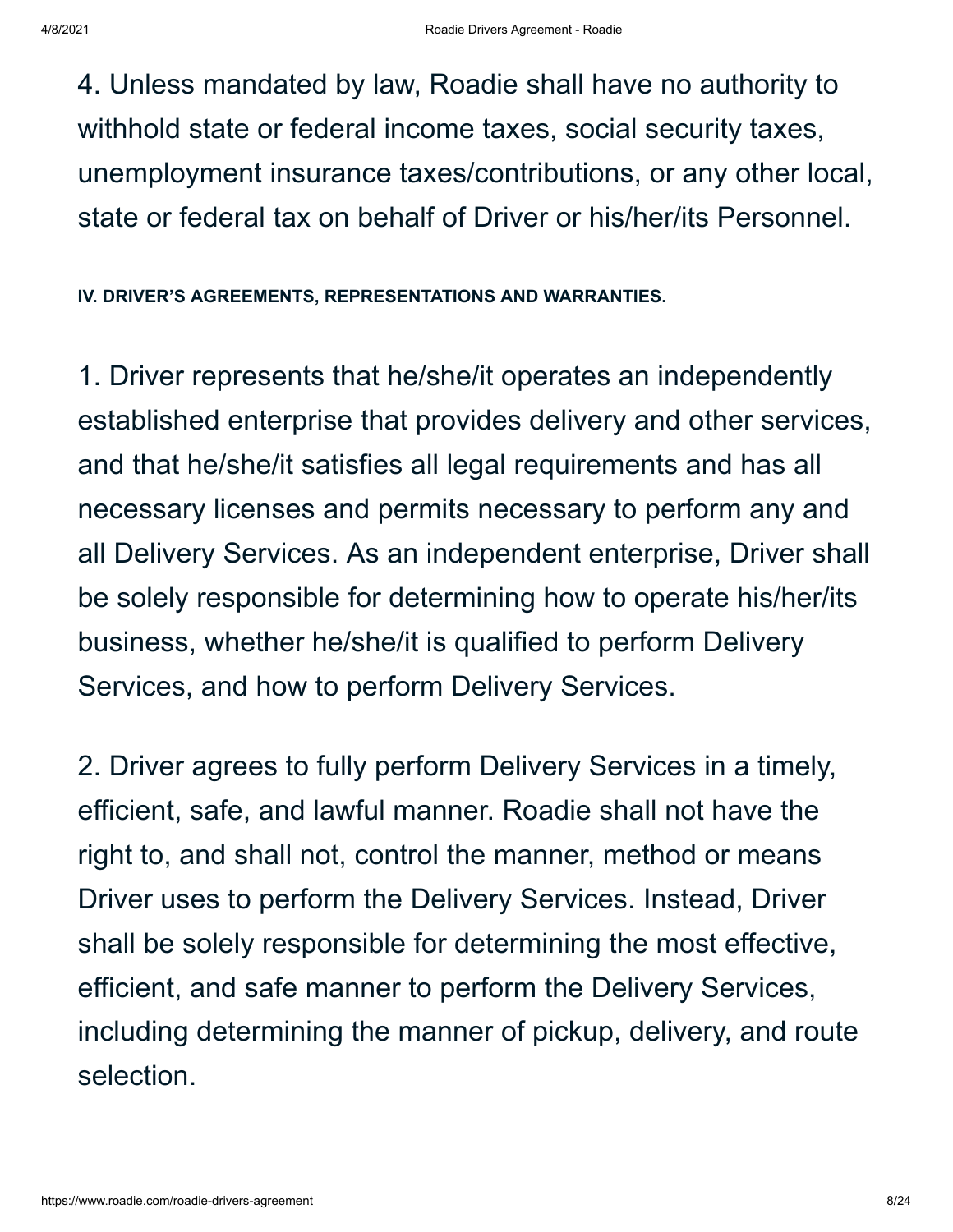4. Unless mandated by law, Roadie shall have no authority to withhold state or federal income taxes, social security taxes, unemployment insurance taxes/contributions, or any other local, state or federal tax on behalf of Driver or his/her/its Personnel.

**IV. DRIVER'S AGREEMENTS, REPRESENTATIONS AND WARRANTIES.**

1. Driver represents that he/she/it operates an independently established enterprise that provides delivery and other services, and that he/she/it satisfies all legal requirements and has all necessary licenses and permits necessary to perform any and all Delivery Services. As an independent enterprise, Driver shall be solely responsible for determining how to operate his/her/its business, whether he/she/it is qualified to perform Delivery Services, and how to perform Delivery Services.

2. Driver agrees to fully perform Delivery Services in a timely, efficient, safe, and lawful manner. Roadie shall not have the right to, and shall not, control the manner, method or means Driver uses to perform the Delivery Services. Instead, Driver shall be solely responsible for determining the most effective, efficient, and safe manner to perform the Delivery Services, including determining the manner of pickup, delivery, and route selection.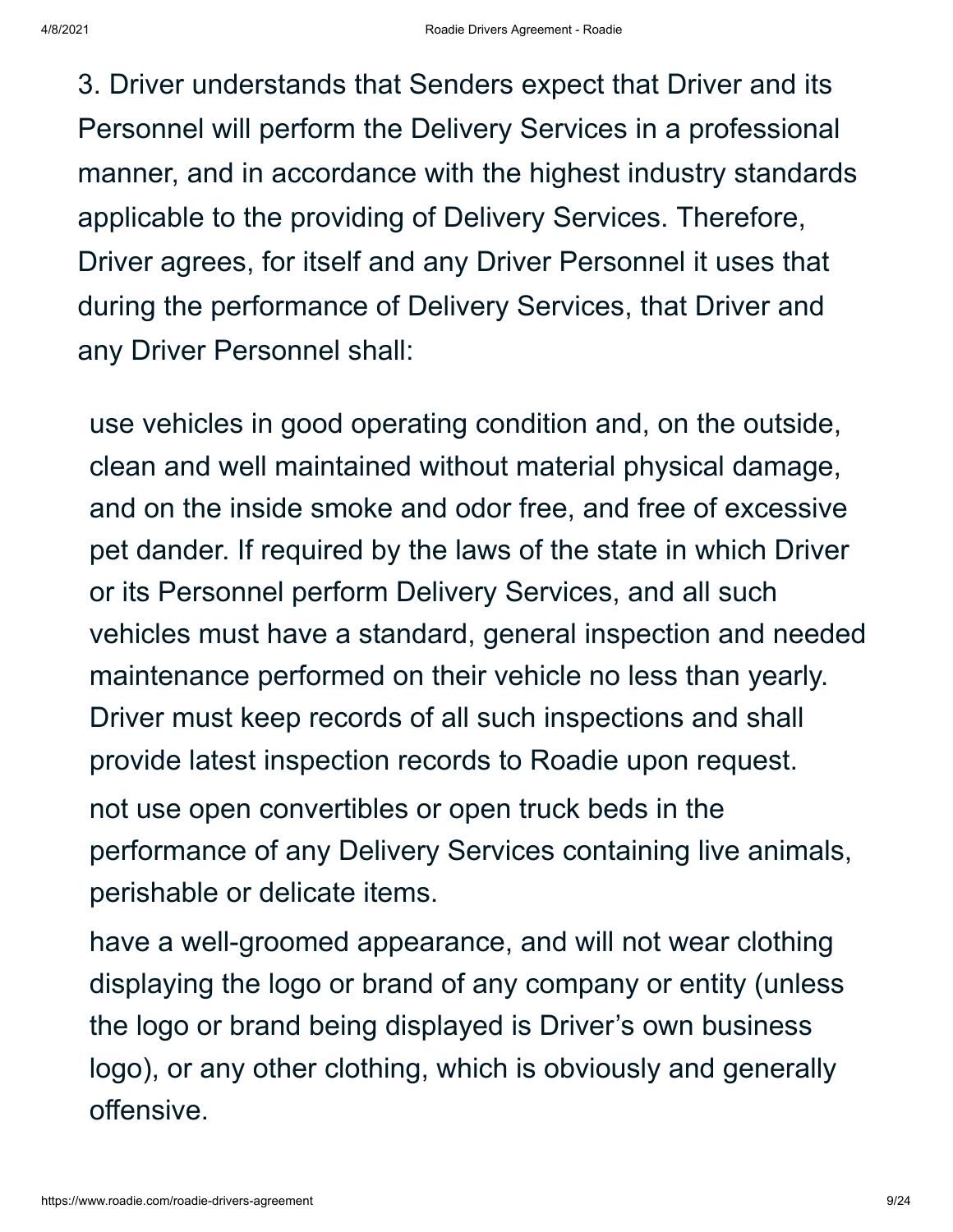3. Driver understands that Senders expect that Driver and its Personnel will perform the Delivery Services in a professional manner, and in accordance with the highest industry standards applicable to the providing of Delivery Services. Therefore, Driver agrees, for itself and any Driver Personnel it uses that during the performance of Delivery Services, that Driver and any Driver Personnel shall:

use vehicles in good operating condition and, on the outside, clean and well maintained without material physical damage, and on the inside smoke and odor free, and free of excessive pet dander. If required by the laws of the state in which Driver or its Personnel perform Delivery Services, and all such vehicles must have a standard, general inspection and needed maintenance performed on their vehicle no less than yearly. Driver must keep records of all such inspections and shall provide latest inspection records to Roadie upon request. not use open convertibles or open truck beds in the

performance of any Delivery Services containing live animals, perishable or delicate items.

have a well-groomed appearance, and will not wear clothing displaying the logo or brand of any company or entity (unless the logo or brand being displayed is Driver's own business logo), or any other clothing, which is obviously and generally offensive.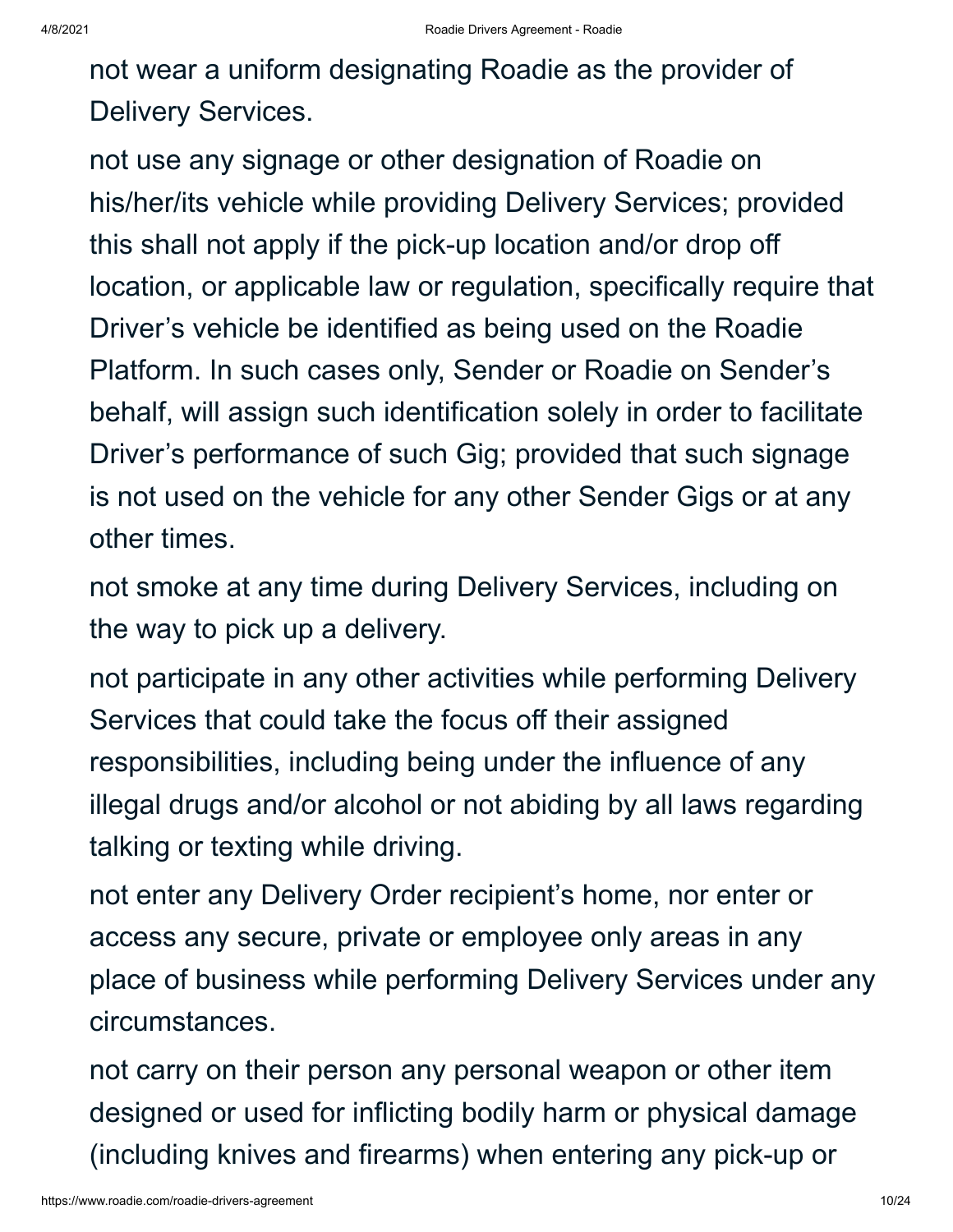not wear a uniform designating Roadie as the provider of Delivery Services.

not use any signage or other designation of Roadie on his/her/its vehicle while providing Delivery Services; provided this shall not apply if the pick-up location and/or drop off location, or applicable law or regulation, specifically require that Driver's vehicle be identified as being used on the Roadie Platform. In such cases only, Sender or Roadie on Sender's behalf, will assign such identification solely in order to facilitate Driver's performance of such Gig; provided that such signage is not used on the vehicle for any other Sender Gigs or at any other times.

not smoke at any time during Delivery Services, including on the way to pick up a delivery.

not participate in any other activities while performing Delivery Services that could take the focus off their assigned responsibilities, including being under the influence of any illegal drugs and/or alcohol or not abiding by all laws regarding talking or texting while driving.

not enter any Delivery Order recipient's home, nor enter or access any secure, private or employee only areas in any place of business while performing Delivery Services under any circumstances.

not carry on their person any personal weapon or other item designed or used for inflicting bodily harm or physical damage (including knives and firearms) when entering any pick-up or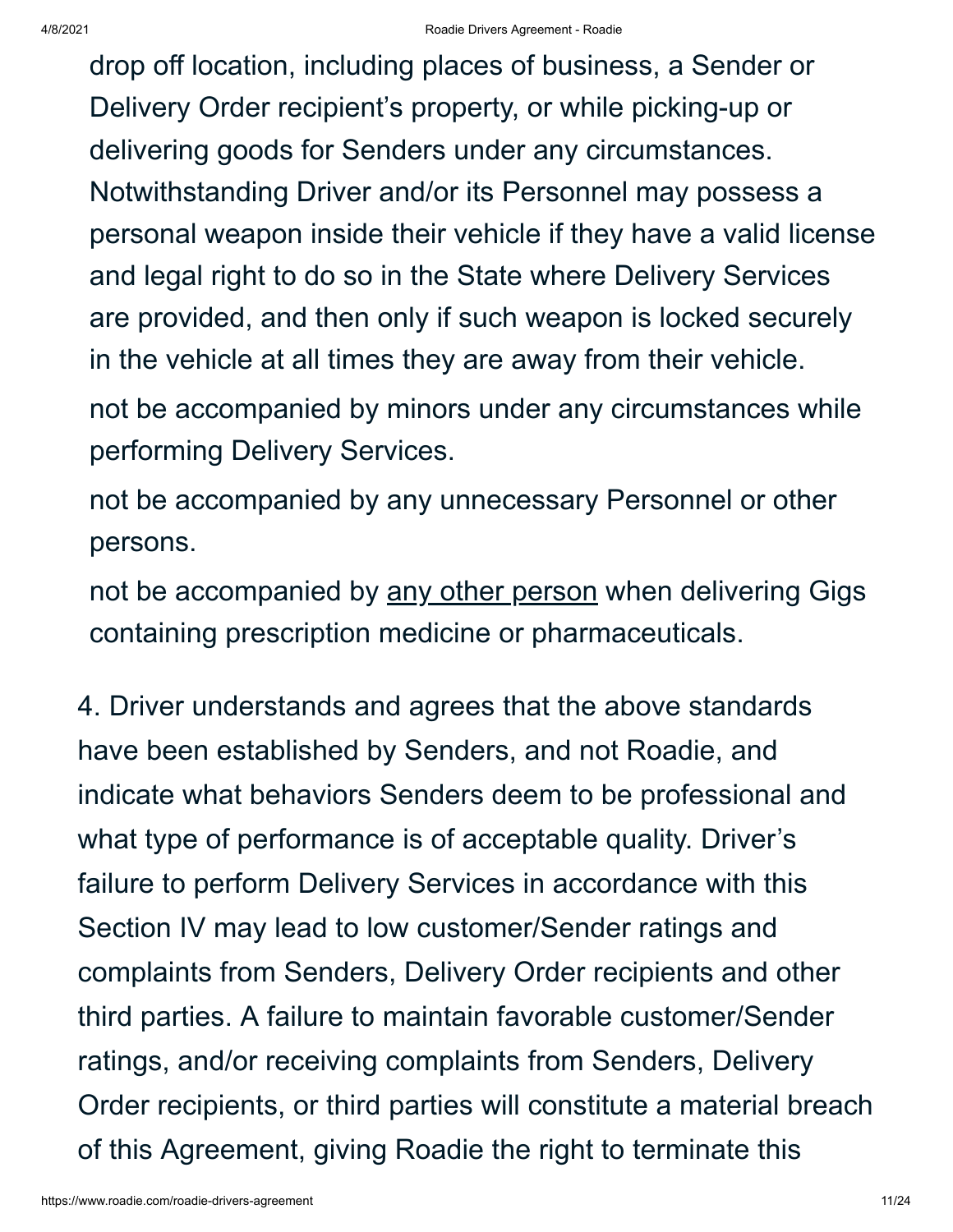drop off location, including places of business, a Sender or Delivery Order recipient's property, or while picking-up or delivering goods for Senders under any circumstances. Notwithstanding Driver and/or its Personnel may possess a personal weapon inside their vehicle if they have a valid license and legal right to do so in the State where Delivery Services are provided, and then only if such weapon is locked securely in the vehicle at all times they are away from their vehicle.

not be accompanied by minors under any circumstances while performing Delivery Services.

not be accompanied by any unnecessary Personnel or other persons.

not be accompanied by any other person when delivering Gigs containing prescription medicine or pharmaceuticals.

4. Driver understands and agrees that the above standards have been established by Senders, and not Roadie, and indicate what behaviors Senders deem to be professional and what type of performance is of acceptable quality. Driver's failure to perform Delivery Services in accordance with this Section IV may lead to low customer/Sender ratings and complaints from Senders, Delivery Order recipients and other third parties. A failure to maintain favorable customer/Sender ratings, and/or receiving complaints from Senders, Delivery Order recipients, or third parties will constitute a material breach of this Agreement, giving Roadie the right to terminate this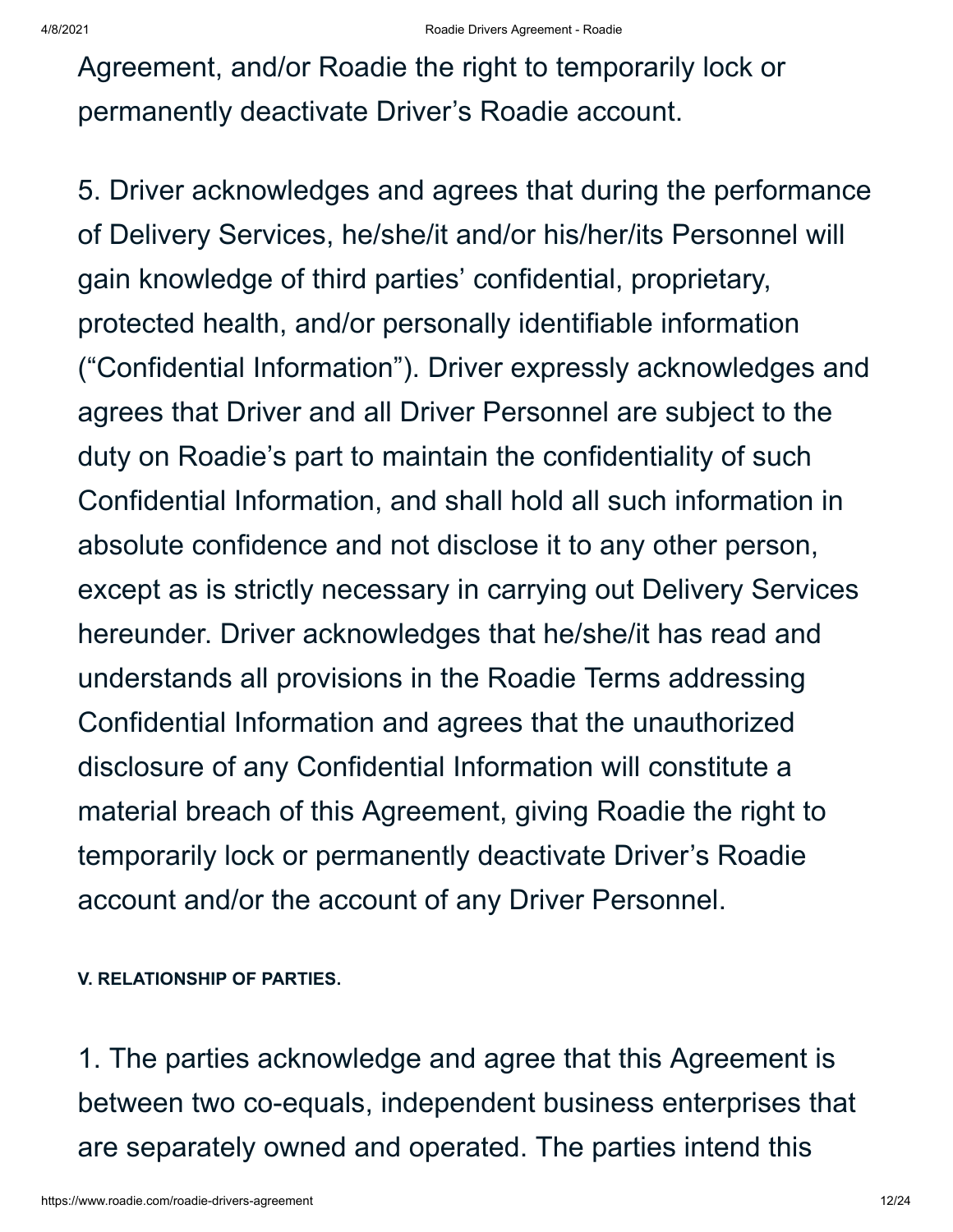Agreement, and/or Roadie the right to temporarily lock or permanently deactivate Driver's Roadie account.

5. Driver acknowledges and agrees that during the performance of Delivery Services, he/she/it and/or his/her/its Personnel will gain knowledge of third parties' confidential, proprietary, protected health, and/or personally identifiable information ("Confidential Information"). Driver expressly acknowledges and agrees that Driver and all Driver Personnel are subject to the duty on Roadie's part to maintain the confidentiality of such Confidential Information, and shall hold all such information in absolute confidence and not disclose it to any other person, except as is strictly necessary in carrying out Delivery Services hereunder. Driver acknowledges that he/she/it has read and understands all provisions in the Roadie Terms addressing Confidential Information and agrees that the unauthorized disclosure of any Confidential Information will constitute a material breach of this Agreement, giving Roadie the right to temporarily lock or permanently deactivate Driver's Roadie account and/or the account of any Driver Personnel.

**V. RELATIONSHIP OF PARTIES.**

1. The parties acknowledge and agree that this Agreement is between two co-equals, independent business enterprises that are separately owned and operated. The parties intend this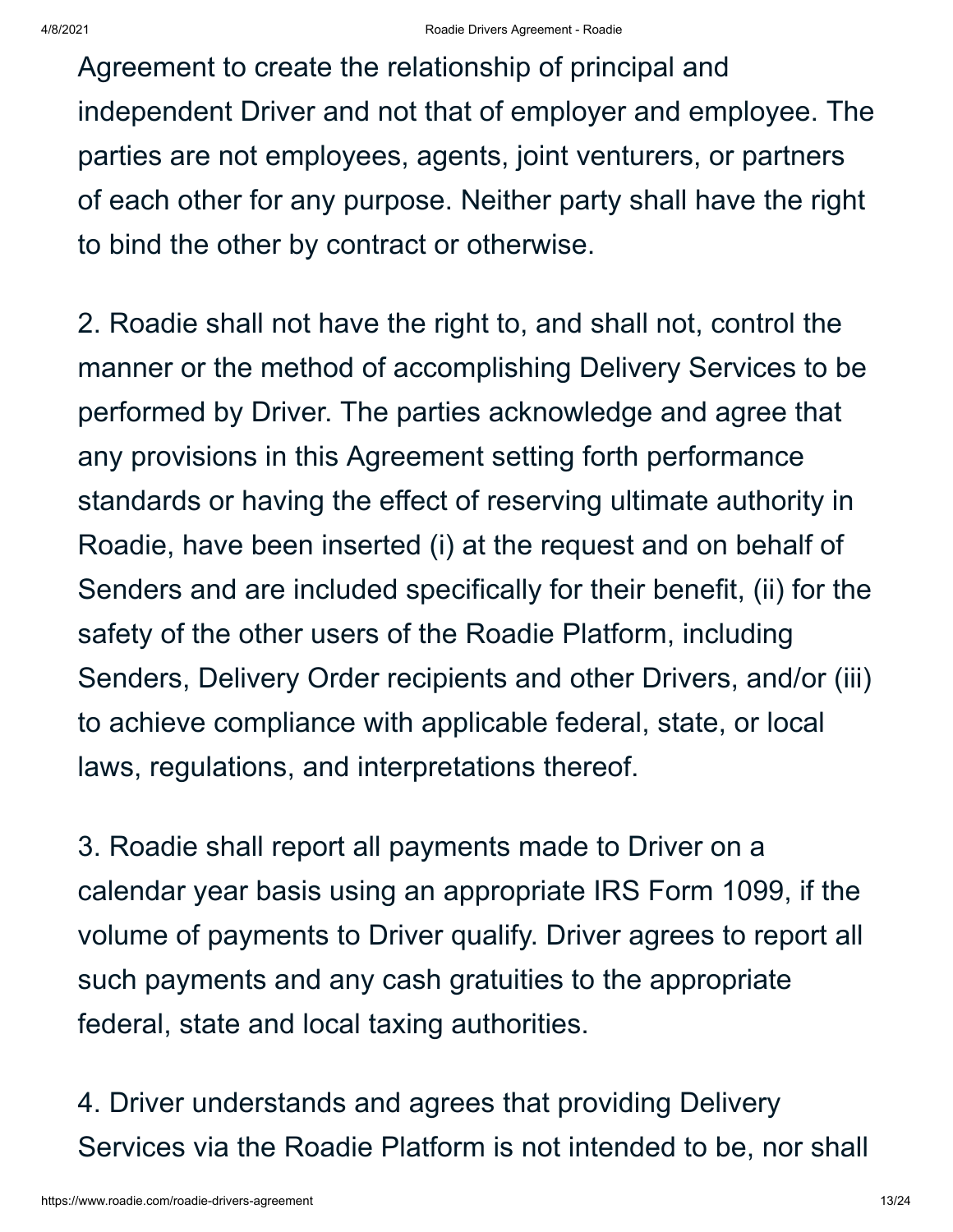Agreement to create the relationship of principal and independent Driver and not that of employer and employee. The parties are not employees, agents, joint venturers, or partners of each other for any purpose. Neither party shall have the right to bind the other by contract or otherwise.

2. Roadie shall not have the right to, and shall not, control the manner or the method of accomplishing Delivery Services to be performed by Driver. The parties acknowledge and agree that any provisions in this Agreement setting forth performance standards or having the effect of reserving ultimate authority in Roadie, have been inserted (i) at the request and on behalf of Senders and are included specifically for their benefit, (ii) for the safety of the other users of the Roadie Platform, including Senders, Delivery Order recipients and other Drivers, and/or (iii) to achieve compliance with applicable federal, state, or local laws, regulations, and interpretations thereof.

3. Roadie shall report all payments made to Driver on a calendar year basis using an appropriate IRS Form 1099, if the volume of payments to Driver qualify. Driver agrees to report all such payments and any cash gratuities to the appropriate federal, state and local taxing authorities.

4. Driver understands and agrees that providing Delivery Services via the Roadie Platform is not intended to be, nor shall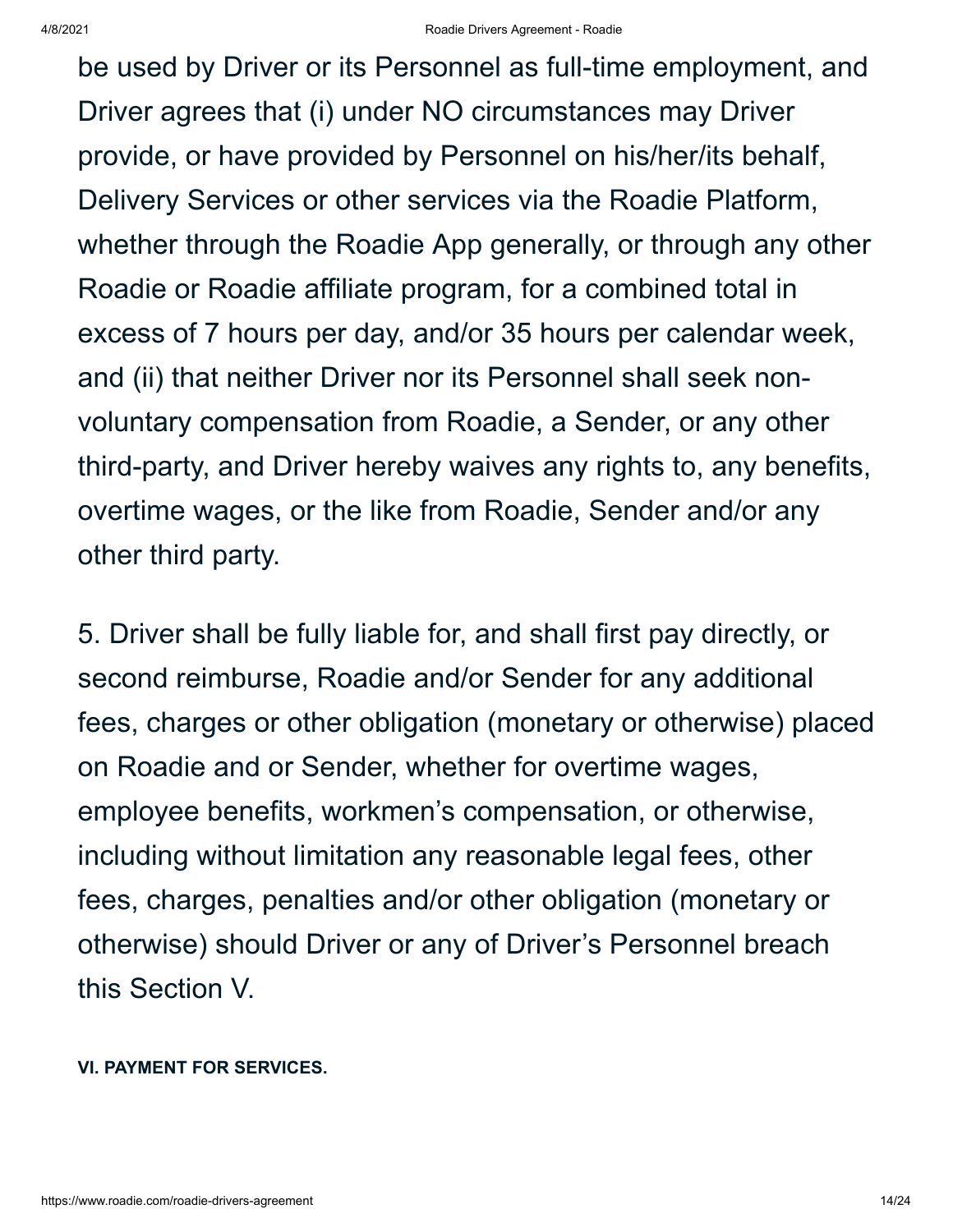be used by Driver or its Personnel as full-time employment, and Driver agrees that (i) under NO circumstances may Driver provide, or have provided by Personnel on his/her/its behalf, Delivery Services or other services via the Roadie Platform, whether through the Roadie App generally, or through any other Roadie or Roadie affiliate program, for a combined total in excess of 7 hours per day, and/or 35 hours per calendar week, and (ii) that neither Driver nor its Personnel shall seek nonvoluntary compensation from Roadie, a Sender, or any other third-party, and Driver hereby waives any rights to, any benefits, overtime wages, or the like from Roadie, Sender and/or any other third party.

5. Driver shall be fully liable for, and shall first pay directly, or second reimburse, Roadie and/or Sender for any additional fees, charges or other obligation (monetary or otherwise) placed on Roadie and or Sender, whether for overtime wages, employee benefits, workmen's compensation, or otherwise, including without limitation any reasonable legal fees, other fees, charges, penalties and/or other obligation (monetary or otherwise) should Driver or any of Driver's Personnel breach this Section V.

**VI. PAYMENT FOR SERVICES.**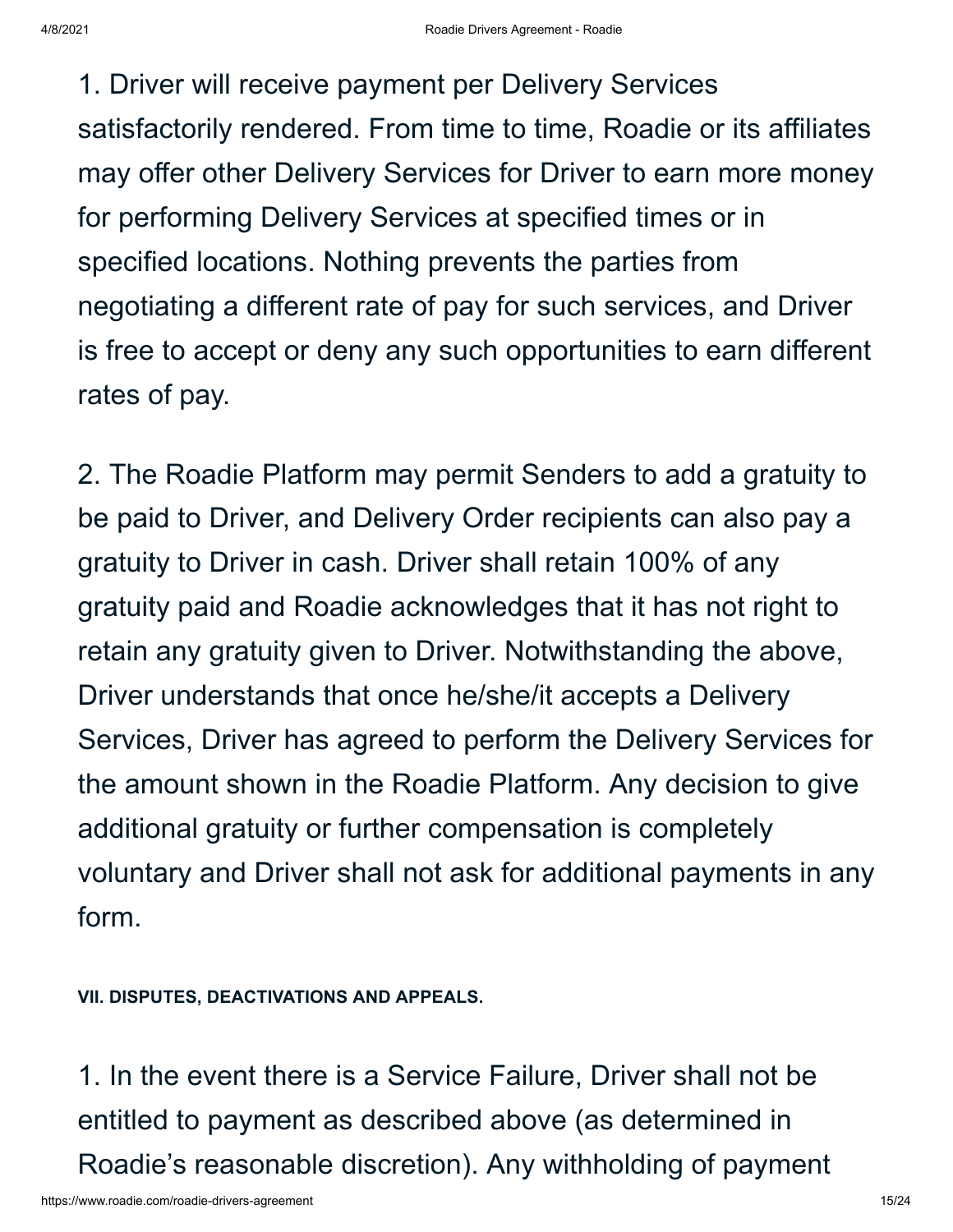1. Driver will receive payment per Delivery Services satisfactorily rendered. From time to time, Roadie or its affiliates may offer other Delivery Services for Driver to earn more money for performing Delivery Services at specified times or in specified locations. Nothing prevents the parties from negotiating a different rate of pay for such services, and Driver is free to accept or deny any such opportunities to earn different rates of pay.

2. The Roadie Platform may permit Senders to add a gratuity to be paid to Driver, and Delivery Order recipients can also pay a gratuity to Driver in cash. Driver shall retain 100% of any gratuity paid and Roadie acknowledges that it has not right to retain any gratuity given to Driver. Notwithstanding the above, Driver understands that once he/she/it accepts a Delivery Services, Driver has agreed to perform the Delivery Services for the amount shown in the Roadie Platform. Any decision to give additional gratuity or further compensation is completely voluntary and Driver shall not ask for additional payments in any form.

**VII. DISPUTES, DEACTIVATIONS AND APPEALS.**

1. In the event there is a Service Failure, Driver shall not be entitled to payment as described above (as determined in Roadie's reasonable discretion). Any withholding of payment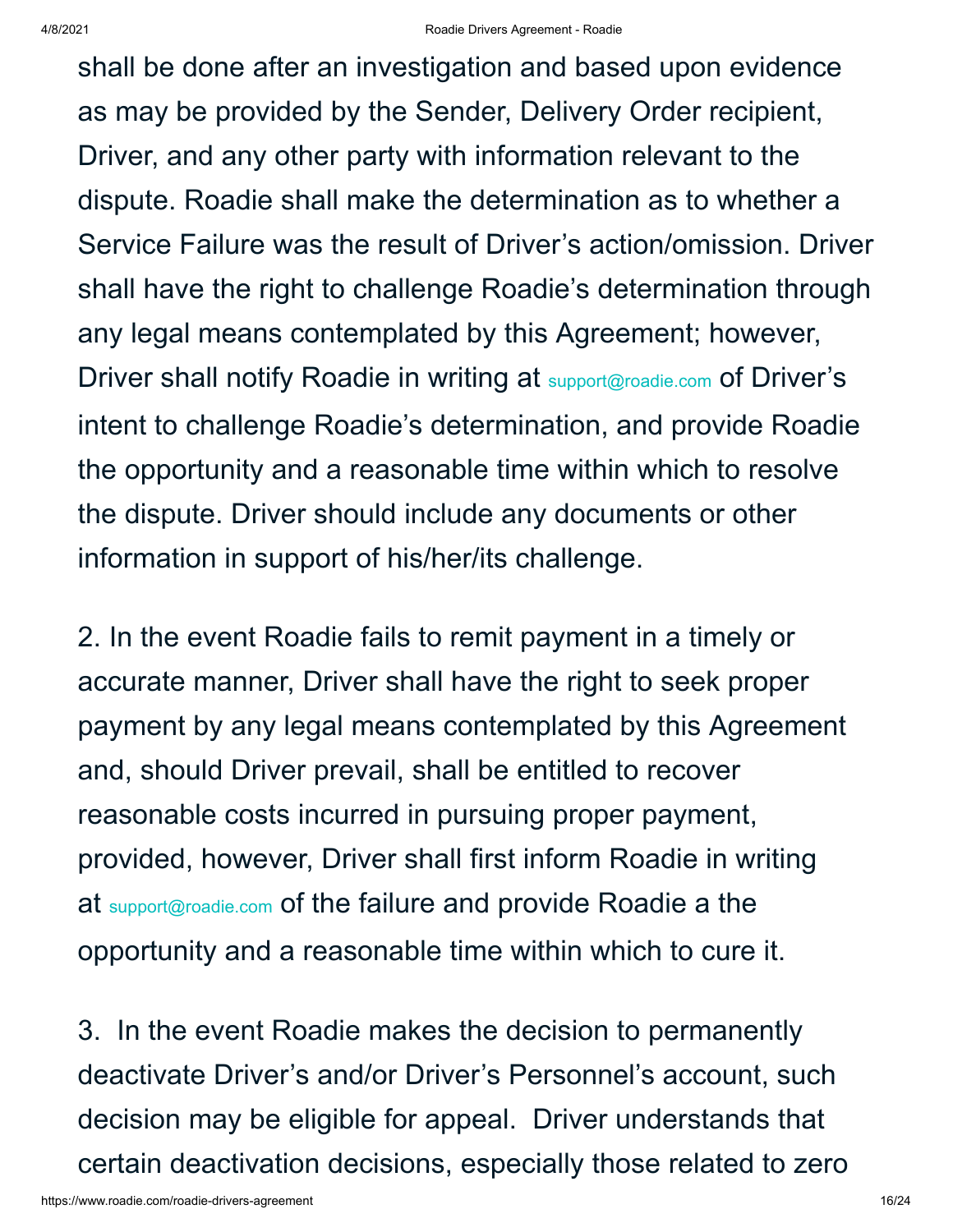shall be done after an investigation and based upon evidence as may be provided by the Sender, Delivery Order recipient, Driver, and any other party with information relevant to the dispute. Roadie shall make the determination as to whether a Service Failure was the result of Driver's action/omission. Driver shall have the right to challenge Roadie's determination through any legal means contemplated by this Agreement; however, Driver shall notify Roadie in writing at [support@roadie.com](mailto:support@roadie.com) of Driver's intent to challenge Roadie's determination, and provide Roadie the opportunity and a reasonable time within which to resolve the dispute. Driver should include any documents or other information in support of his/her/its challenge.

2. In the event Roadie fails to remit payment in a timely or accurate manner, Driver shall have the right to seek proper payment by any legal means contemplated by this Agreement and, should Driver prevail, shall be entitled to recover reasonable costs incurred in pursuing proper payment, provided, however, Driver shall first inform Roadie in writing at [support@roadie.com](mailto:support@roadie.com) of the failure and provide Roadie a the opportunity and a reasonable time within which to cure it.

3. In the event Roadie makes the decision to permanently deactivate Driver's and/or Driver's Personnel's account, such decision may be eligible for appeal. Driver understands that certain deactivation decisions, especially those related to zero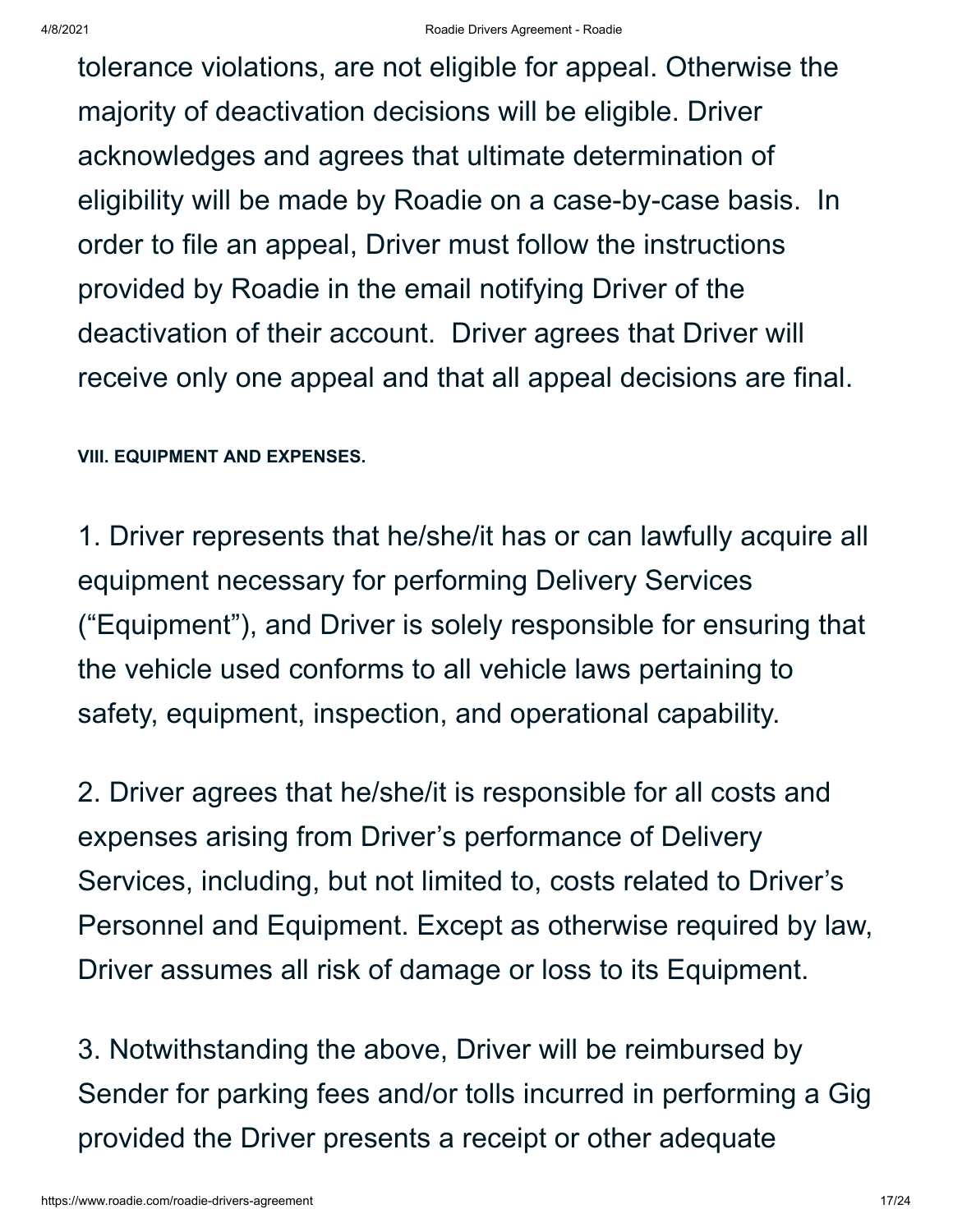tolerance violations, are not eligible for appeal. Otherwise the majority of deactivation decisions will be eligible. Driver acknowledges and agrees that ultimate determination of eligibility will be made by Roadie on a case-by-case basis. In order to file an appeal, Driver must follow the instructions provided by Roadie in the email notifying Driver of the deactivation of their account. Driver agrees that Driver will receive only one appeal and that all appeal decisions are final.

**VIII. EQUIPMENT AND EXPENSES.**

1. Driver represents that he/she/it has or can lawfully acquire all equipment necessary for performing Delivery Services ("Equipment"), and Driver is solely responsible for ensuring that the vehicle used conforms to all vehicle laws pertaining to safety, equipment, inspection, and operational capability.

2. Driver agrees that he/she/it is responsible for all costs and expenses arising from Driver's performance of Delivery Services, including, but not limited to, costs related to Driver's Personnel and Equipment. Except as otherwise required by law, Driver assumes all risk of damage or loss to its Equipment.

3. Notwithstanding the above, Driver will be reimbursed by Sender for parking fees and/or tolls incurred in performing a Gig provided the Driver presents a receipt or other adequate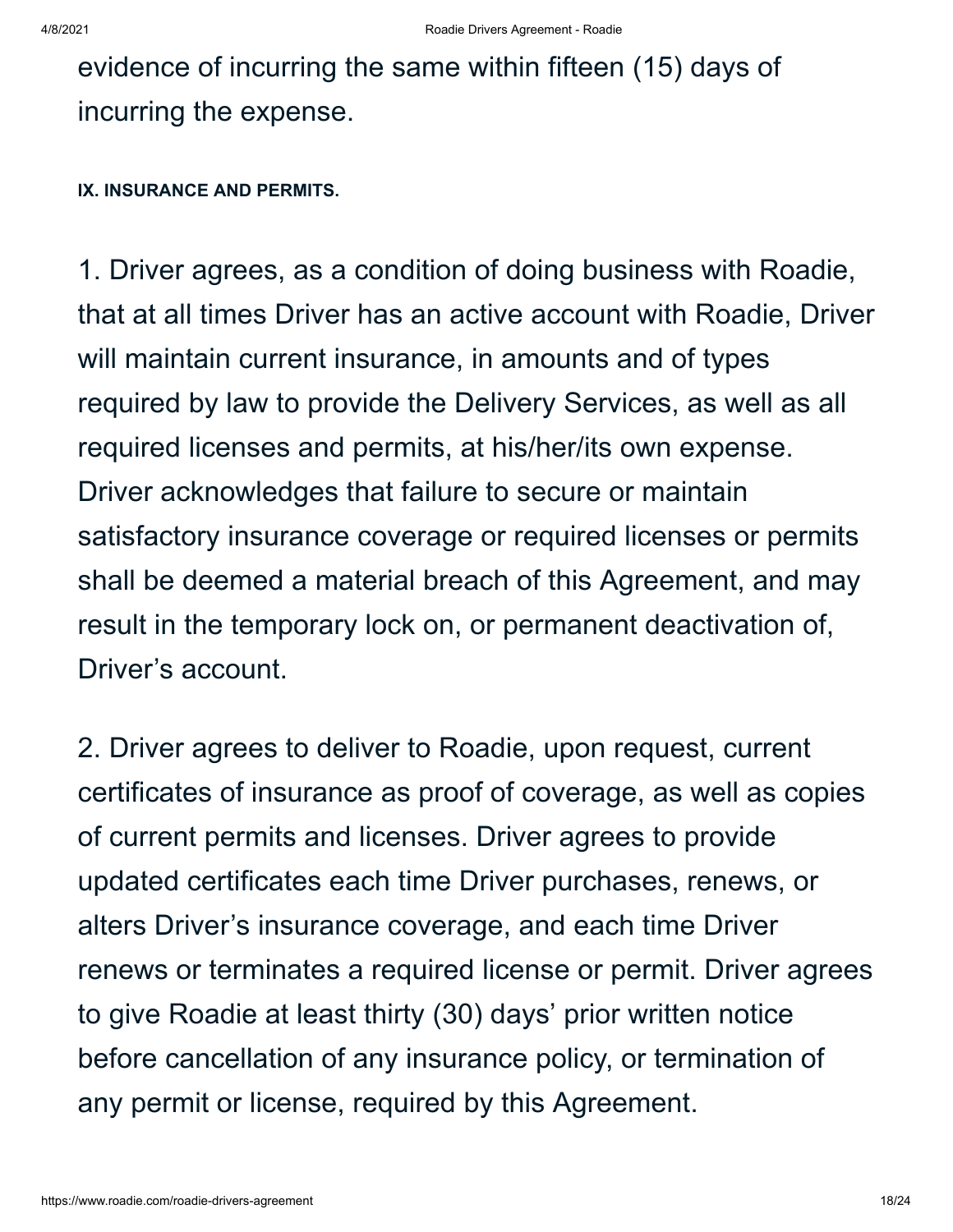evidence of incurring the same within fifteen (15) days of incurring the expense.

**IX. INSURANCE AND PERMITS.**

1. Driver agrees, as a condition of doing business with Roadie, that at all times Driver has an active account with Roadie, Driver will maintain current insurance, in amounts and of types required by law to provide the Delivery Services, as well as all required licenses and permits, at his/her/its own expense. Driver acknowledges that failure to secure or maintain satisfactory insurance coverage or required licenses or permits shall be deemed a material breach of this Agreement, and may result in the temporary lock on, or permanent deactivation of, Driver's account.

2. Driver agrees to deliver to Roadie, upon request, current certificates of insurance as proof of coverage, as well as copies of current permits and licenses. Driver agrees to provide updated certificates each time Driver purchases, renews, or alters Driver's insurance coverage, and each time Driver renews or terminates a required license or permit. Driver agrees to give Roadie at least thirty (30) days' prior written notice before cancellation of any insurance policy, or termination of any permit or license, required by this Agreement.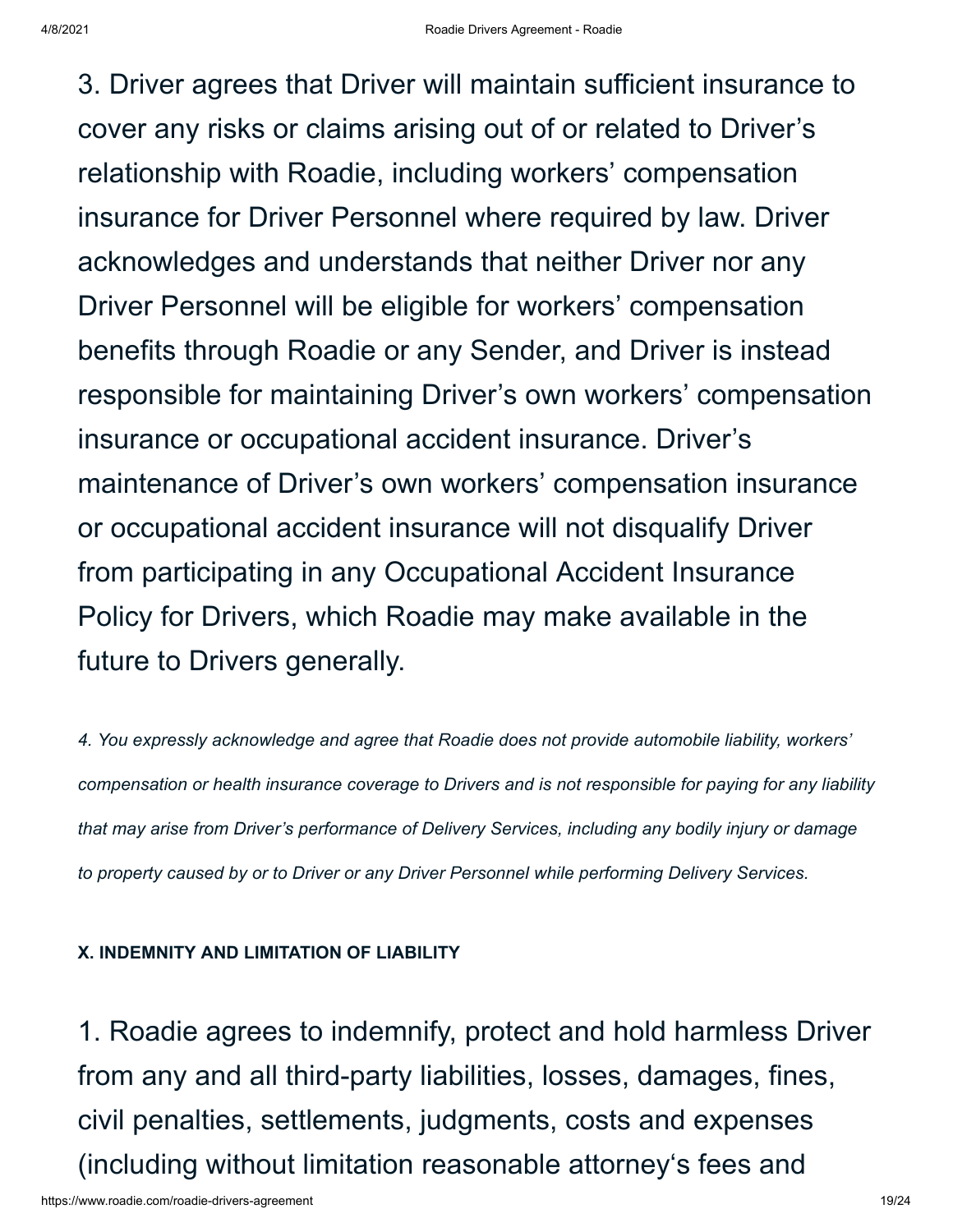3. Driver agrees that Driver will maintain sufficient insurance to cover any risks or claims arising out of or related to Driver's relationship with Roadie, including workers' compensation insurance for Driver Personnel where required by law. Driver acknowledges and understands that neither Driver nor any Driver Personnel will be eligible for workers' compensation benefits through Roadie or any Sender, and Driver is instead responsible for maintaining Driver's own workers' compensation insurance or occupational accident insurance. Driver's maintenance of Driver's own workers' compensation insurance or occupational accident insurance will not disqualify Driver from participating in any Occupational Accident Insurance Policy for Drivers, which Roadie may make available in the future to Drivers generally.

*4. You expressly acknowledge and agree that Roadie does not provide automobile liability, workers' compensation or health insurance coverage to Drivers and is not responsible for paying for any liability that may arise from Driver's performance of Delivery Services, including any bodily injury or damage to property caused by or to Driver or any Driver Personnel while performing Delivery Services.*

## **X. INDEMNITY AND LIMITATION OF LIABILITY**

1. Roadie agrees to indemnify, protect and hold harmless Driver from any and all third-party liabilities, losses, damages, fines, civil penalties, settlements, judgments, costs and expenses (including without limitation reasonable attorney's fees and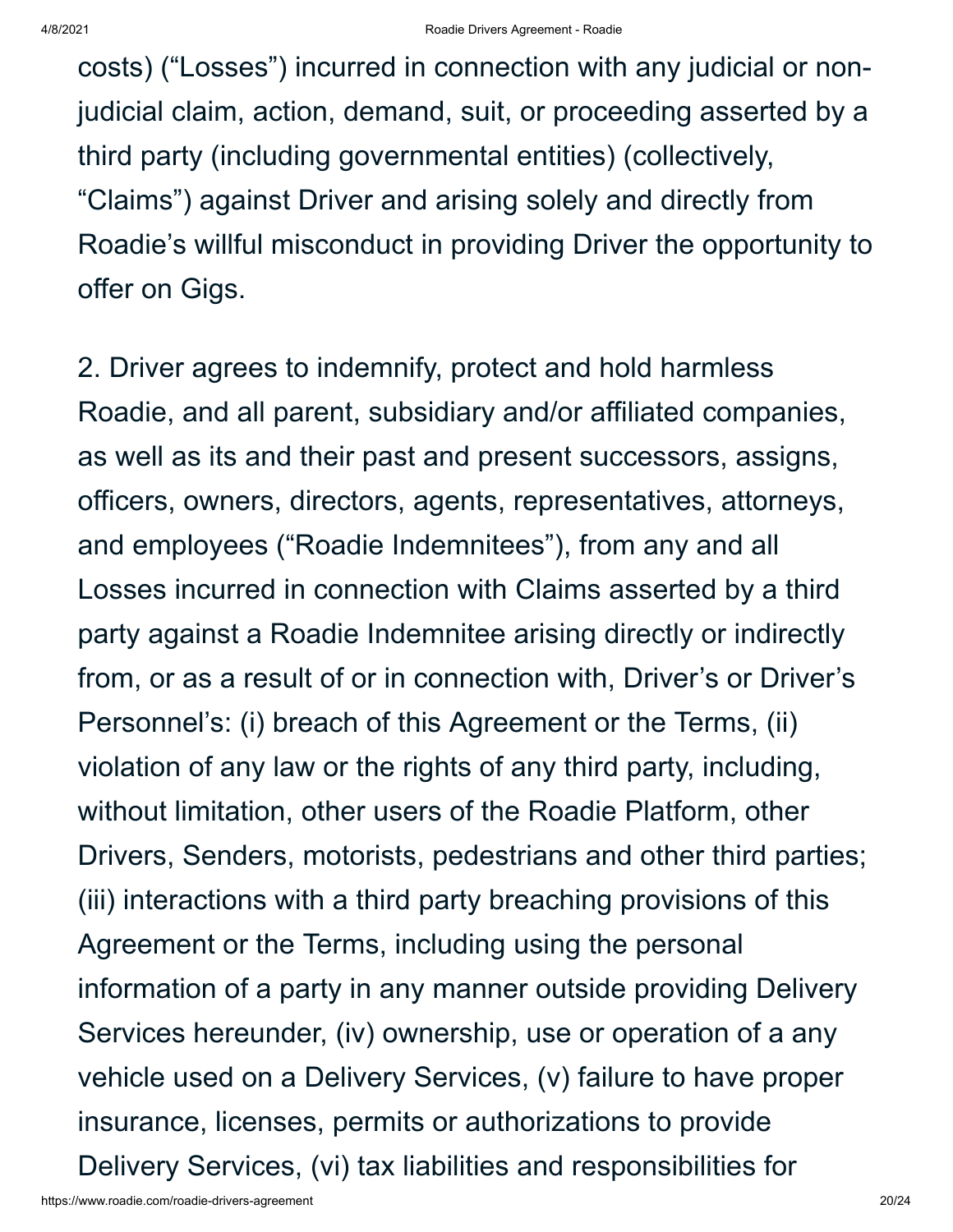costs) ("Losses") incurred in connection with any judicial or nonjudicial claim, action, demand, suit, or proceeding asserted by a third party (including governmental entities) (collectively, "Claims") against Driver and arising solely and directly from Roadie's willful misconduct in providing Driver the opportunity to offer on Gigs.

2. Driver agrees to indemnify, protect and hold harmless Roadie, and all parent, subsidiary and/or affiliated companies, as well as its and their past and present successors, assigns, officers, owners, directors, agents, representatives, attorneys, and employees ("Roadie Indemnitees"), from any and all Losses incurred in connection with Claims asserted by a third party against a Roadie Indemnitee arising directly or indirectly from, or as a result of or in connection with, Driver's or Driver's Personnel's: (i) breach of this Agreement or the Terms, (ii) violation of any law or the rights of any third party, including, without limitation, other users of the Roadie Platform, other Drivers, Senders, motorists, pedestrians and other third parties; (iii) interactions with a third party breaching provisions of this Agreement or the Terms, including using the personal information of a party in any manner outside providing Delivery Services hereunder, (iv) ownership, use or operation of a any vehicle used on a Delivery Services, (v) failure to have proper insurance, licenses, permits or authorizations to provide Delivery Services, (vi) tax liabilities and responsibilities for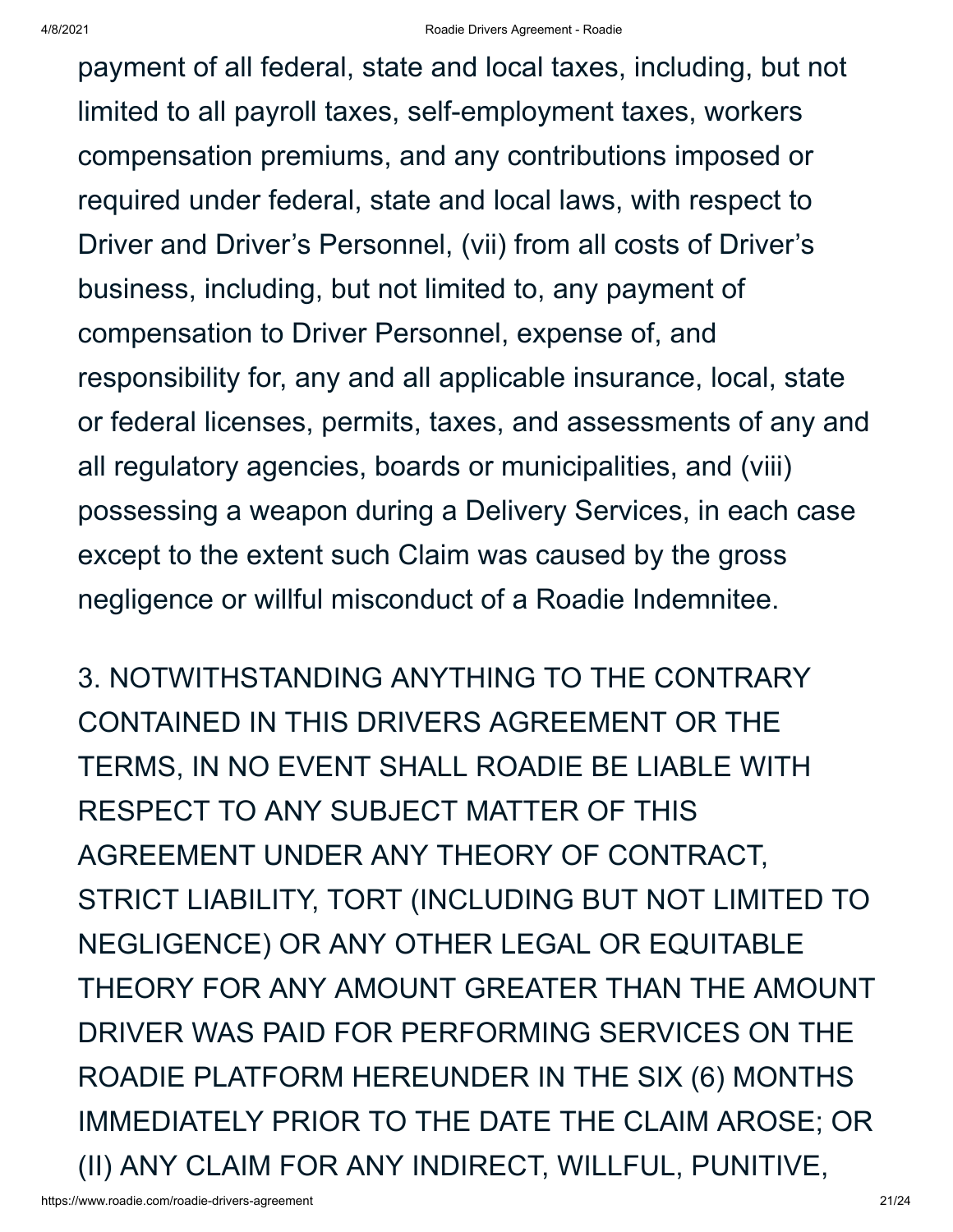payment of all federal, state and local taxes, including, but not limited to all payroll taxes, self-employment taxes, workers compensation premiums, and any contributions imposed or required under federal, state and local laws, with respect to Driver and Driver's Personnel, (vii) from all costs of Driver's business, including, but not limited to, any payment of compensation to Driver Personnel, expense of, and responsibility for, any and all applicable insurance, local, state or federal licenses, permits, taxes, and assessments of any and all regulatory agencies, boards or municipalities, and (viii) possessing a weapon during a Delivery Services, in each case except to the extent such Claim was caused by the gross negligence or willful misconduct of a Roadie Indemnitee.

3. NOTWITHSTANDING ANYTHING TO THE CONTRARY CONTAINED IN THIS DRIVERS AGREEMENT OR THE TERMS, IN NO EVENT SHALL ROADIE BE LIABLE WITH RESPECT TO ANY SUBJECT MATTER OF THIS AGREEMENT UNDER ANY THEORY OF CONTRACT, STRICT LIABILITY, TORT (INCLUDING BUT NOT LIMITED TO NEGLIGENCE) OR ANY OTHER LEGAL OR EQUITABLE THEORY FOR ANY AMOUNT GREATER THAN THE AMOUNT DRIVER WAS PAID FOR PERFORMING SERVICES ON THE ROADIE PLATFORM HEREUNDER IN THE SIX (6) MONTHS IMMEDIATELY PRIOR TO THE DATE THE CLAIM AROSE; OR (II) ANY CLAIM FOR ANY INDIRECT, WILLFUL, PUNITIVE,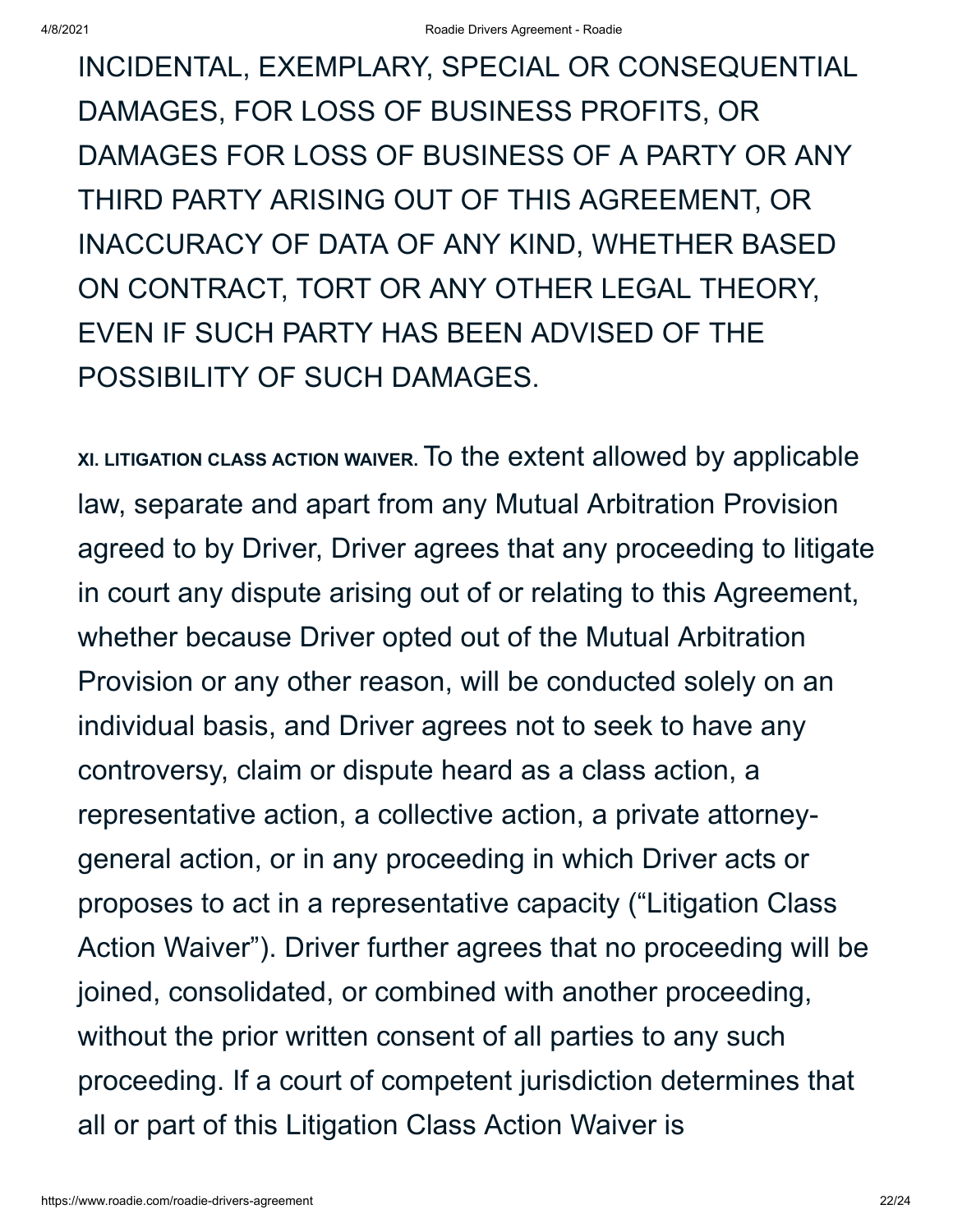INCIDENTAL, EXEMPLARY, SPECIAL OR CONSEQUENTIAL DAMAGES, FOR LOSS OF BUSINESS PROFITS, OR DAMAGES FOR LOSS OF BUSINESS OF A PARTY OR ANY THIRD PARTY ARISING OUT OF THIS AGREEMENT, OR INACCURACY OF DATA OF ANY KIND, WHETHER BASED ON CONTRACT, TORT OR ANY OTHER LEGAL THEORY, EVEN IF SUCH PARTY HAS BEEN ADVISED OF THE POSSIBILITY OF SUCH DAMAGES.

**XI. LITIGATION CLASS ACTION WAIVER.** To the extent allowed by applicable law, separate and apart from any Mutual Arbitration Provision agreed to by Driver, Driver agrees that any proceeding to litigate in court any dispute arising out of or relating to this Agreement, whether because Driver opted out of the Mutual Arbitration Provision or any other reason, will be conducted solely on an individual basis, and Driver agrees not to seek to have any controversy, claim or dispute heard as a class action, a representative action, a collective action, a private attorneygeneral action, or in any proceeding in which Driver acts or proposes to act in a representative capacity ("Litigation Class Action Waiver"). Driver further agrees that no proceeding will be joined, consolidated, or combined with another proceeding, without the prior written consent of all parties to any such proceeding. If a court of competent jurisdiction determines that all or part of this Litigation Class Action Waiver is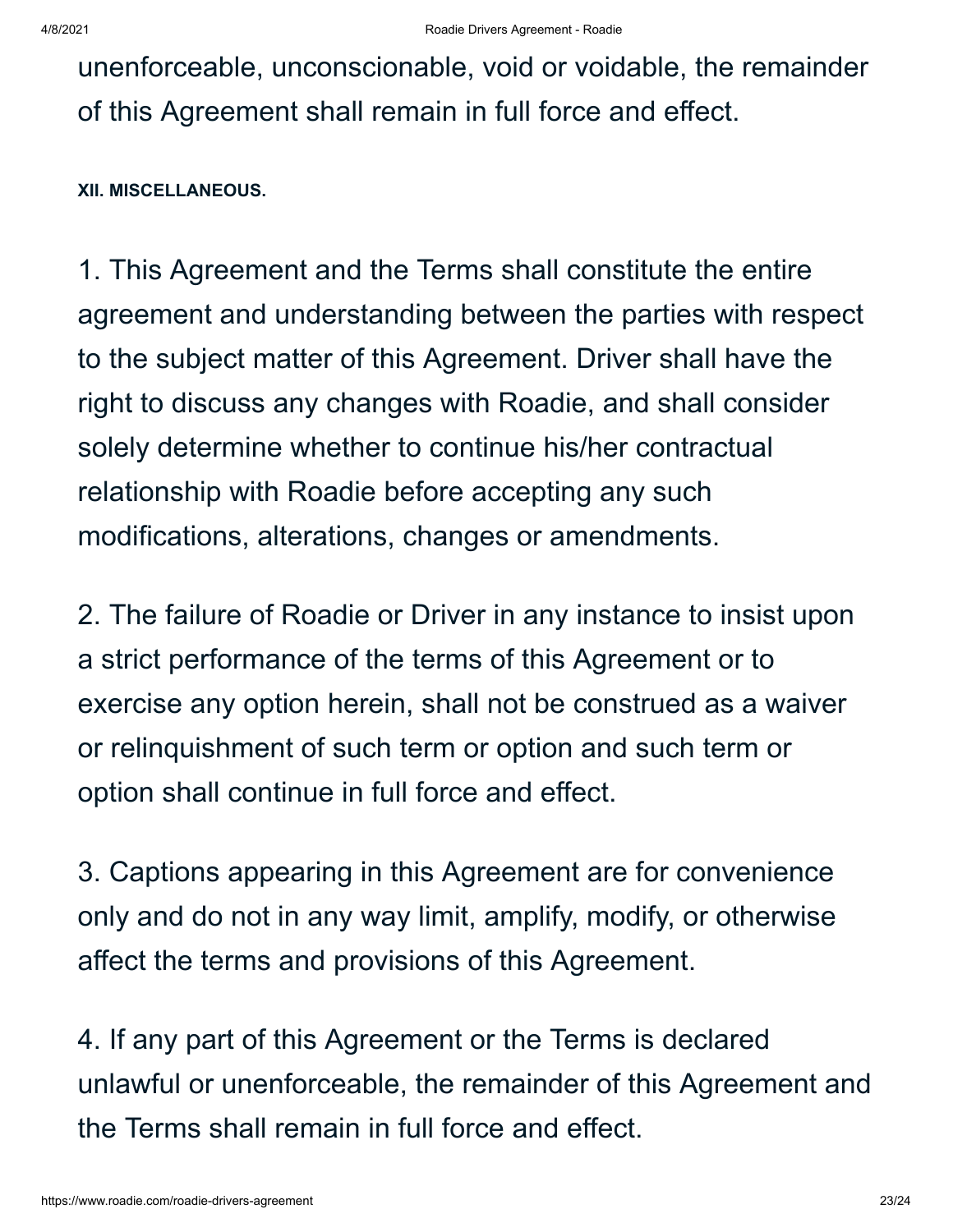unenforceable, unconscionable, void or voidable, the remainder of this Agreement shall remain in full force and effect.

**XII. MISCELLANEOUS.**

1. This Agreement and the Terms shall constitute the entire agreement and understanding between the parties with respect to the subject matter of this Agreement. Driver shall have the right to discuss any changes with Roadie, and shall consider solely determine whether to continue his/her contractual relationship with Roadie before accepting any such modifications, alterations, changes or amendments.

2. The failure of Roadie or Driver in any instance to insist upon a strict performance of the terms of this Agreement or to exercise any option herein, shall not be construed as a waiver or relinquishment of such term or option and such term or option shall continue in full force and effect.

3. Captions appearing in this Agreement are for convenience only and do not in any way limit, amplify, modify, or otherwise affect the terms and provisions of this Agreement.

4. If any part of this Agreement or the Terms is declared unlawful or unenforceable, the remainder of this Agreement and the Terms shall remain in full force and effect.